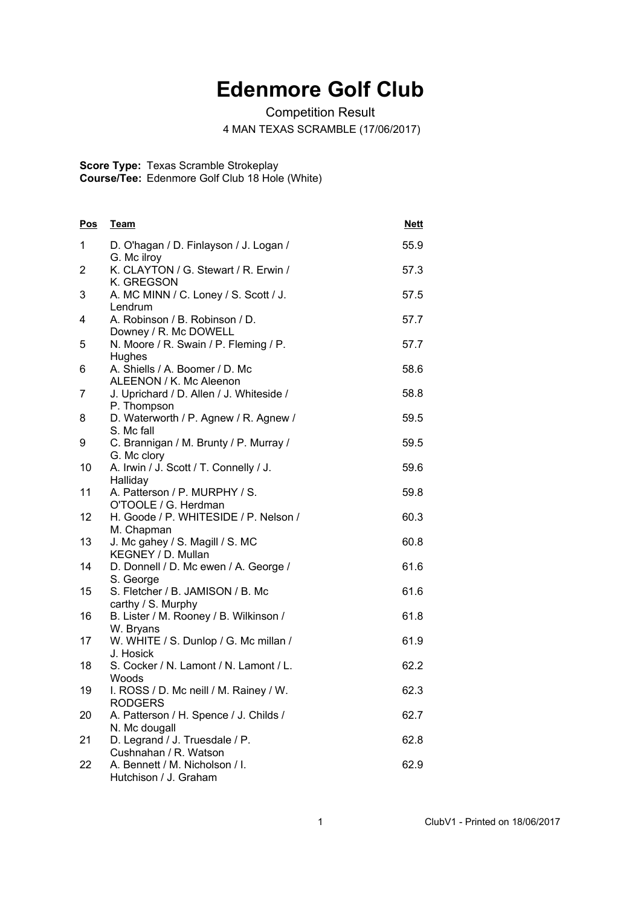## **Edenmore Golf Club**

Competition Result

4 MAN TEXAS SCRAMBLE (17/06/2017)

**Score Type:** Texas Scramble Strokeplay

**Course/Tee:** Edenmore Golf Club 18 Hole (White)

| Pos | Team                                                      | <b>Nett</b> |
|-----|-----------------------------------------------------------|-------------|
| 1   | D. O'hagan / D. Finlayson / J. Logan /<br>G. Mc ilroy     | 55.9        |
| 2   | K. CLAYTON / G. Stewart / R. Erwin /<br>K. GREGSON        | 57.3        |
| 3   | A. MC MINN / C. Loney / S. Scott / J.<br>Lendrum          | 57.5        |
| 4   | A. Robinson / B. Robinson / D.<br>Downey / R. Mc DOWELL   | 57.7        |
| 5   | N. Moore / R. Swain / P. Fleming / P.<br>Hughes           | 57.7        |
| 6   | A. Shiells / A. Boomer / D. Mc<br>ALEENON / K. Mc Aleenon | 58.6        |
| 7   | J. Uprichard / D. Allen / J. Whiteside /<br>P. Thompson   | 58.8        |
| 8   | D. Waterworth / P. Agnew / R. Agnew /<br>S. Mc fall       | 59.5        |
| 9   | C. Brannigan / M. Brunty / P. Murray /<br>G. Mc clory     | 59.5        |
| 10  | A. Irwin / J. Scott / T. Connelly / J.<br>Halliday        | 59.6        |
| 11  | A. Patterson / P. MURPHY / S.<br>O'TOOLE / G. Herdman     | 59.8        |
| 12  | H. Goode / P. WHITESIDE / P. Nelson /<br>M. Chapman       | 60.3        |
| 13  | J. Mc gahey / S. Magill / S. MC<br>KEGNEY / D. Mullan     | 60.8        |
| 14  | D. Donnell / D. Mc ewen / A. George /<br>S. George        | 61.6        |
| 15  | S. Fletcher / B. JAMISON / B. Mc<br>carthy / S. Murphy    | 61.6        |
| 16  | B. Lister / M. Rooney / B. Wilkinson /<br>W. Bryans       | 61.8        |
| 17  | W. WHITE / S. Dunlop / G. Mc millan /<br>J. Hosick        | 61.9        |
| 18  | S. Cocker / N. Lamont / N. Lamont / L.<br>Woods           | 62.2        |
| 19  | I. ROSS / D. Mc neill / M. Rainey / W.<br>RODGERS         | 62.3        |
| 20  | A. Patterson / H. Spence / J. Childs /<br>N. Mc dougall   | 62.7        |
| 21  | D. Legrand / J. Truesdale / P.<br>Cushnahan / R. Watson   | 62.8        |
| 22  | A. Bennett / M. Nicholson / I.<br>Hutchison / J. Graham   | 62.9        |